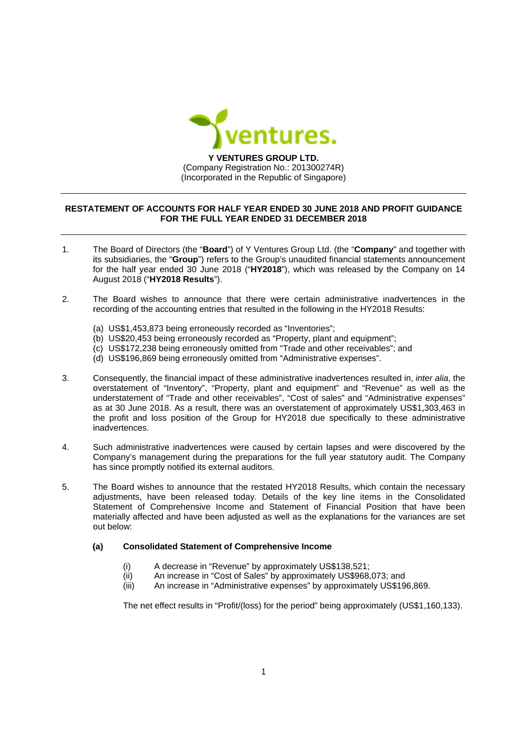

## RESTATEMENT OF ACCOUNTS FOR HALF YEAR ENDED 30 JUNE 2018 AND PROFIT GUIDANCE FOR THE FULL YEAR ENDED 31 DECEMBER 2018

- $\mathbf{1}$ The Board of Directors (the "Board") of Y Ventures Group Ltd. (the "Company" and together with its subsidiaries, the "Group") refers to the Group's unaudited financial statements announcement for the half year ended 30 June 2018 ("HY2018"), which was released by the Company on 14 August 2018 ("HY2018 Results").
- $\mathcal{P}$ The Board wishes to announce that there were certain administrative inadvertences in the recording of the accounting entries that resulted in the following in the HY2018 Results:
	- (a) US\$1,453,873 being erroneously recorded as "Inventories";
	- (b) US\$20,453 being erroneously recorded as "Property, plant and equipment";
	- (c) US\$172,238 being erroneously omitted from "Trade and other receivables"; and
	- (d) US\$196,869 being erroneously omitted from "Administrative expenses".
- $3.$ Consequently, the financial impact of these administrative inadvertences resulted in, inter alia, the overstatement of "Inventory", "Property, plant and equipment" and "Revenue" as well as the understatement of "Trade and other receivables", "Cost of sales" and "Administrative expenses" as at 30 June 2018. As a result, there was an overstatement of approximately US\$1,303,463 in the profit and loss position of the Group for HY2018 due specifically to these administrative inadvertences.
- $\overline{4}$ . Such administrative inadvertences were caused by certain lapses and were discovered by the Company's management during the preparations for the full year statutory audit. The Company has since promptly notified its external auditors.
- 5. The Board wishes to announce that the restated HY2018 Results, which contain the necessary adjustments, have been released today. Details of the key line items in the Consolidated Statement of Comprehensive Income and Statement of Financial Position that have been materially affected and have been adjusted as well as the explanations for the variances are set out below:

## $(a)$ **Consolidated Statement of Comprehensive Income**

- A decrease in "Revenue" by approximately US\$138,521;  $(i)$
- $(ii)$ An increase in "Cost of Sales" by approximately US\$968,073; and
- $(iii)$ An increase in "Administrative expenses" by approximately US\$196,869.

The net effect results in "Profit/(loss) for the period" being approximately (US\$1,160,133).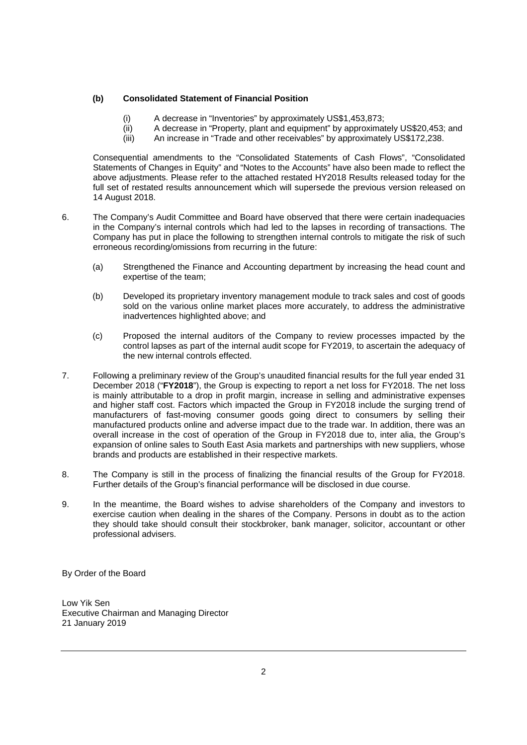## **(b) Consolidated Statement of Financial Position**

- (i) A decrease in "Inventories" by approximately US\$1,453,873;
- (ii) A decrease in "Property, plant and equipment" by approximately US\$20,453; and
- (iii) An increase in "Trade and other receivables" by approximately US\$172,238.

Consequential amendments to the "Consolidated Statements of Cash Flows", "Consolidated Statements of Changes in Equity" and "Notes to the Accounts" have also been made to reflect the above adjustments. Please refer to the attached restated HY2018 Results released today for the full set of restated results announcement which will supersede the previous version released on 14 August 2018.

- 6. The Company's Audit Committee and Board have observed that there were certain inadequacies in the Company's internal controls which had led to the lapses in recording of transactions. The Company has put in place the following to strengthen internal controls to mitigate the risk of such erroneous recording/omissions from recurring in the future:
	- (a) Strengthened the Finance and Accounting department by increasing the head count and expertise of the team;
	- (b) Developed its proprietary inventory management module to track sales and cost of goods sold on the various online market places more accurately, to address the administrative inadvertences highlighted above; and
	- (c) Proposed the internal auditors of the Company to review processes impacted by the control lapses as part of the internal audit scope for FY2019, to ascertain the adequacy of the new internal controls effected.
- 7. Following a preliminary review of the Group's unaudited financial results for the full year ended 31 December 2018 ("**FY2018**"), the Group is expecting to report a net loss for FY2018. The net loss is mainly attributable to a drop in profit margin, increase in selling and administrative expenses and higher staff cost. Factors which impacted the Group in FY2018 include the surging trend of manufacturers of fast-moving consumer goods going direct to consumers by selling their manufactured products online and adverse impact due to the trade war. In addition, there was an overall increase in the cost of operation of the Group in FY2018 due to, inter alia, the Group's expansion of online sales to South East Asia markets and partnerships with new suppliers, whose brands and products are established in their respective markets.
- 8. The Company is still in the process of finalizing the financial results of the Group for FY2018. Further details of the Group's financial performance will be disclosed in due course.
- 9. In the meantime, the Board wishes to advise shareholders of the Company and investors to exercise caution when dealing in the shares of the Company. Persons in doubt as to the action they should take should consult their stockbroker, bank manager, solicitor, accountant or other professional advisers.

By Order of the Board

Low Yik Sen Executive Chairman and Managing Director 21 January 2019